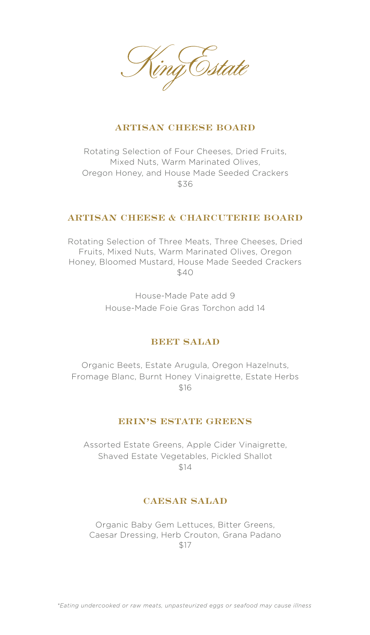

## **ARTISAN CHEESE BOARD**

Rotating Selection of Four Cheeses, Dried Fruits, Mixed Nuts, Warm Marinated Olives, Oregon Honey, and House Made Seeded Crackers \$36

### **ARTISAN CHEESE & CHARCUTERIE BOARD**

Rotating Selection of Three Meats, Three Cheeses, Dried Fruits, Mixed Nuts, Warm Marinated Olives, Oregon Honey, Bloomed Mustard, House Made Seeded Crackers \$40

> House-Made Pate add 9 House-Made Foie Gras Torchon add 14

# **BEET SALAD**

Organic Beets, Estate Arugula, Oregon Hazelnuts, Fromage Blanc, Burnt Honey Vinaigrette, Estate Herbs \$16

### **ERIN'S ESTATE GREENS**

Assorted Estate Greens, Apple Cider Vinaigrette, Shaved Estate Vegetables, Pickled Shallot \$14

### **CAESAR SALAD**

Organic Baby Gem Lettuces, Bitter Greens, Caesar Dressing, Herb Crouton, Grana Padano \$17